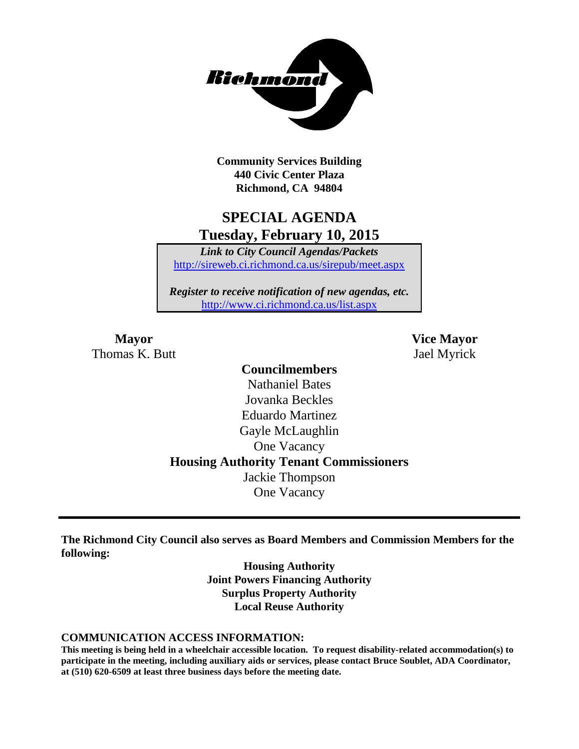

**Community Services Building 440 Civic Center Plaza Richmond, CA 94804**

## **SPECIAL AGENDA Tuesday, February 10, 2015**

*Link to City Council Agendas/Packets* <http://sireweb.ci.richmond.ca.us/sirepub/meet.aspx>

*Register to receive notification of new agendas, etc.* <http://www.ci.richmond.ca.us/list.aspx>

Thomas K. Butt Jael Myrick

**Mayor Vice Mayor**

### **Councilmembers** Nathaniel Bates Jovanka Beckles Eduardo Martinez Gayle McLaughlin One Vacancy **Housing Authority Tenant Commissioners** Jackie Thompson One Vacancy

**The Richmond City Council also serves as Board Members and Commission Members for the following:**

> **Housing Authority Joint Powers Financing Authority Surplus Property Authority Local Reuse Authority**

### **COMMUNICATION ACCESS INFORMATION:**

**This meeting is being held in a wheelchair accessible location. To request disability-related accommodation(s) to participate in the meeting, including auxiliary aids or services, please contact Bruce Soublet, ADA Coordinator, at (510) 620-6509 at least three business days before the meeting date.**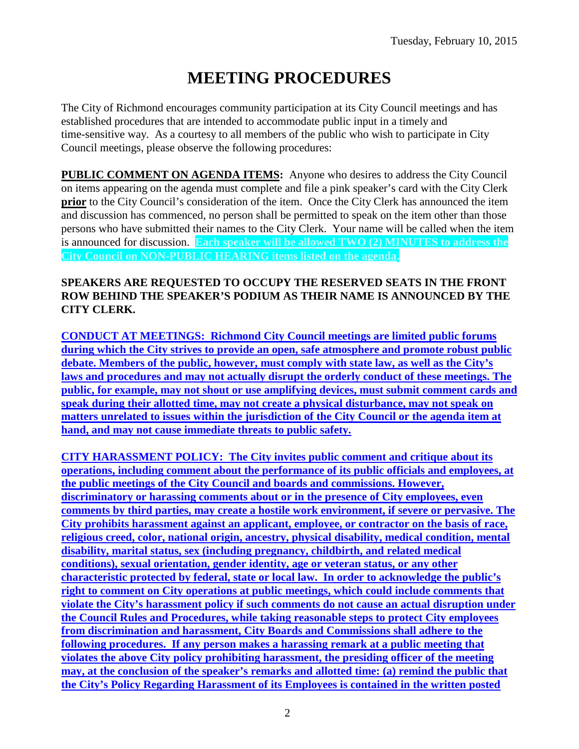# **MEETING PROCEDURES**

The City of Richmond encourages community participation at its City Council meetings and has established procedures that are intended to accommodate public input in a timely and time-sensitive way. As a courtesy to all members of the public who wish to participate in City Council meetings, please observe the following procedures:

**PUBLIC COMMENT ON AGENDA ITEMS:** Anyone who desires to address the City Council on items appearing on the agenda must complete and file a pink speaker's card with the City Clerk **prior** to the City Council's consideration of the item. Once the City Clerk has announced the item and discussion has commenced, no person shall be permitted to speak on the item other than those persons who have submitted their names to the City Clerk. Your name will be called when the item is announced for discussion. **Each speaker will be allowed TWO (2) MINUTES to address the City Council on NON-PUBLIC HEARING items listed on the agenda.**

### **SPEAKERS ARE REQUESTED TO OCCUPY THE RESERVED SEATS IN THE FRONT ROW BEHIND THE SPEAKER'S PODIUM AS THEIR NAME IS ANNOUNCED BY THE CITY CLERK.**

**CONDUCT AT MEETINGS: Richmond City Council meetings are limited public forums during which the City strives to provide an open, safe atmosphere and promote robust public debate. Members of the public, however, must comply with state law, as well as the City's laws and procedures and may not actually disrupt the orderly conduct of these meetings. The public, for example, may not shout or use amplifying devices, must submit comment cards and speak during their allotted time, may not create a physical disturbance, may not speak on matters unrelated to issues within the jurisdiction of the City Council or the agenda item at hand, and may not cause immediate threats to public safety.** 

**CITY HARASSMENT POLICY: The City invites public comment and critique about its operations, including comment about the performance of its public officials and employees, at the public meetings of the City Council and boards and commissions. However, discriminatory or harassing comments about or in the presence of City employees, even comments by third parties, may create a hostile work environment, if severe or pervasive. The City prohibits harassment against an applicant, employee, or contractor on the basis of race, religious creed, color, national origin, ancestry, physical disability, medical condition, mental disability, marital status, sex (including pregnancy, childbirth, and related medical conditions), sexual orientation, gender identity, age or veteran status, or any other characteristic protected by federal, state or local law. In order to acknowledge the public's right to comment on City operations at public meetings, which could include comments that violate the City's harassment policy if such comments do not cause an actual disruption under the Council Rules and Procedures, while taking reasonable steps to protect City employees from discrimination and harassment, City Boards and Commissions shall adhere to the following procedures. If any person makes a harassing remark at a public meeting that violates the above City policy prohibiting harassment, the presiding officer of the meeting may, at the conclusion of the speaker's remarks and allotted time: (a) remind the public that the City's Policy Regarding Harassment of its Employees is contained in the written posted**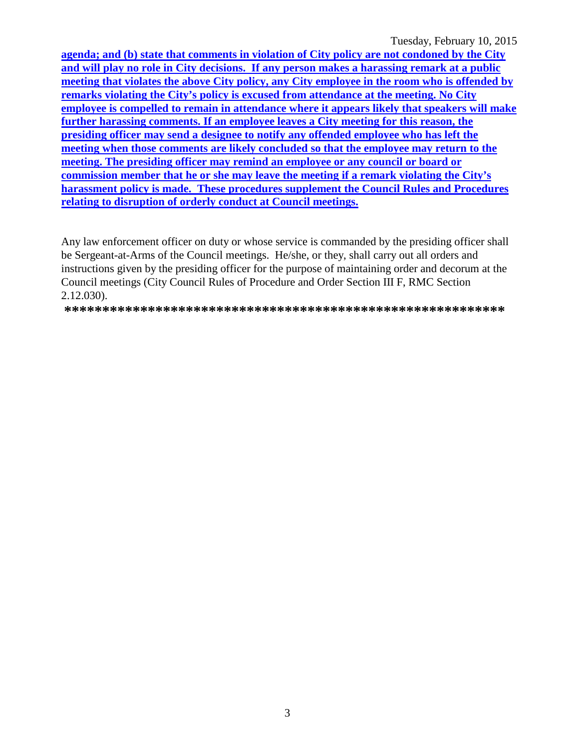Tuesday, February 10, 2015

agenda; and (b) state that comments in violation of City policy are not condoned by the City and will play no role in City decisions. If any person makes a harassing remark at a public meeting that violates the above City policy, any City employee in the room who is offended by remarks violating the City's policy is excused from attendance at the meeting. No City employee is compelled to remain in attendance where it appears likely that speakers will make further harassing comments. If an employee leaves a City meeting for this reason, the presiding officer may send a designee to notify any offended employee who has left the meeting when those comments are likely concluded so that the employee may return to the meeting. The presiding officer may remind an employee or any council or board or commission member that he or she may leave the meeting if a remark violating the City's harassment policy is made. These procedures supplement the Council Rules and Procedures relating to disruption of orderly conduct at Council meetings.

Any law enforcement officer on duty or whose service is commanded by the presiding officer shall be Sergeant-at-Arms of the Council meetings. He/she, or they, shall carry out all orders and instructions given by the presiding officer for the purpose of maintaining order and decorum at the Council meetings (City Council Rules of Procedure and Order Section III F, RMC Section 2.12.030).